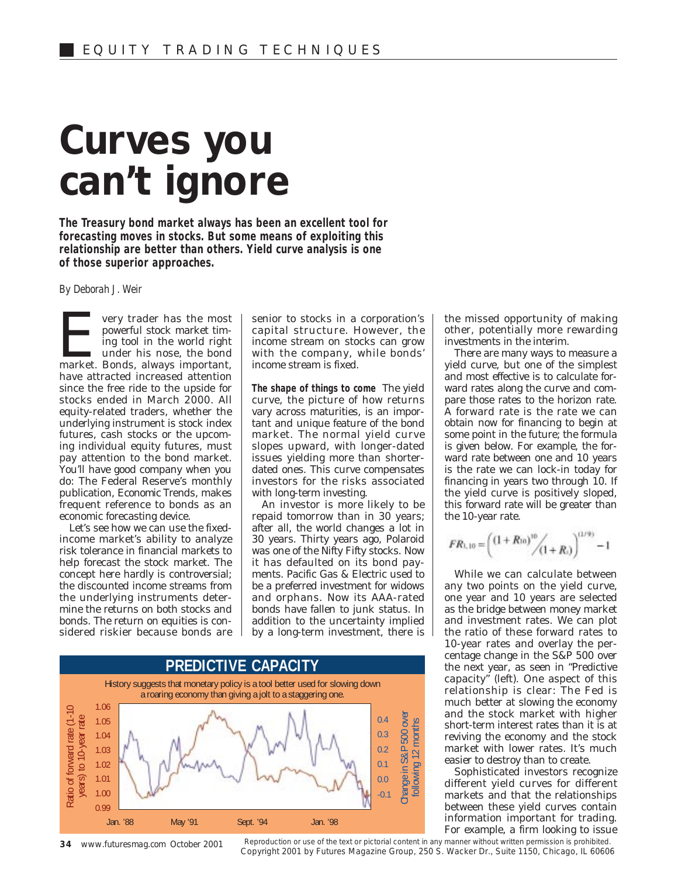## **Curves you can't ignore**

**The Treasury bond market always has been an excellent tool for forecasting moves in stocks. But some means of exploiting this relationship are better than others. Yield curve analysis is one of those superior approaches.**

*By Deborah J. Weir*

**Every trader has the most powerful stock market timing tool in the world right under his nose, the bond market. Bonds, always important,** powerful stock market timing tool in the world right under his nose, the bond market. Bonds, always important, have attracted increased attention since the free ride to the upside for stocks ended in March 2000. All equity-related traders, whether the underlying instrument is stock index futures, cash stocks or the upcoming individual equity futures, must pay attention to the bond market. You'll have good company when you do: The Federal Reserve's monthly publication, *Economic Trends*, makes frequent reference to bonds as an economic forecasting device.

Let's see how we can use the fixedincome market's ability to analyze risk tolerance in financial markets to help forecast the stock market. The concept here hardly is controversial; the discounted income streams from the underlying instruments determine the returns on both stocks and bonds. The return on equities is considered riskier because bonds are

senior to stocks in a corporation's capital structure. However, the income stream on stocks can grow with the company, while bonds' income stream is fixed.

**The shape of things to come** The yield curve, the picture of how returns vary across maturities, is an important and unique feature of the bond market. The normal yield curve slopes upward, with longer-dated issues yielding more than shorterdated ones. This curve compensates investors for the risks associated with long-term investing.

An investor is more likely to be repaid tomorrow than in 30 years; after all, the world changes a lot in 30 years. Thirty years ago, Polaroid was one of the Nifty Fifty stocks. Now it has defaulted on its bond payments. Pacific Gas & Electric used to be a preferred investment for widows and orphans. Now its AAA-rated bonds have fallen to junk status. In addition to the uncertainty implied by a long-term investment, there is



Reproduction or use of the text or pictorial content in any manner without written permission is prohibited. Copyright 2001 by Futures Magazine Group, 250 S. Wacker Dr., Suite 1150, Chicago, IL 60606

the missed opportunity of making other, potentially more rewarding investments in the interim.

There are many ways to measure a yield curve, but one of the simplest and most effective is to calculate forward rates along the curve and compare those rates to the horizon rate. A forward rate is the rate we can obtain now for financing to begin at some point in the future; the formula is given below. For example, the forward rate between one and 10 years is the rate we can lock-in today for financing in years two through 10. If the yield curve is positively sloped, this forward rate will be greater than the 10-year rate.

$$
FR_{1,10} = \left(\frac{(1+R_{10})^{10}}{(1+R_1)}\right)^{(1/9)} - 1
$$

While we can calculate between any two points on the yield curve, one year and 10 years are selected as the bridge between money market and investment rates. We can plot the ratio of these forward rates to 10-year rates and overlay the percentage change in the S&P 500 over the next year, as seen in "Predictive capacity" (left). One aspect of this relationship is clear: The Fed is much better at slowing the economy and the stock market with higher short-term interest rates than it is at reviving the economy and the stock market with lower rates. It's much easier to destroy than to create.

Sophisticated investors recognize different yield curves for different markets and that the relationships between these yield curves contain information important for trading. For example, a firm looking to issue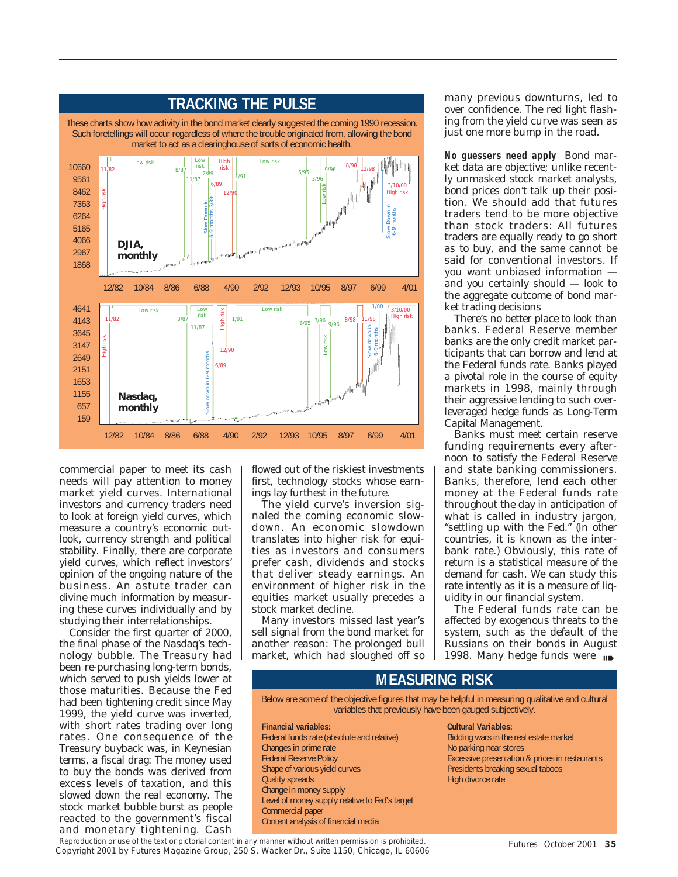

commercial paper to meet its cash needs will pay attention to money market yield curves. International investors and currency traders need to look at foreign yield curves, which measure a country's economic outlook, currency strength and political stability. Finally, there are corporate yield curves, which reflect investors' opinion of the ongoing nature of the business. An astute trader can divine much information by measuring these curves individually and by studying their interrelationships.

Consider the first quarter of 2000, the final phase of the Nasdaq's technology bubble. The Treasury had been re-purchasing long-term bonds, which served to push yields lower at those maturities. Because the Fed had been tightening credit since May 1999, the yield curve was inverted, with short rates trading over long rates. One consequence of the Treasury buyback was, in Keynesian terms, a fiscal drag: The money used to buy the bonds was derived from excess levels of taxation, and this slowed down the real economy. The stock market bubble burst as people reacted to the government's fiscal and monetary tightening. Cash flowed out of the riskiest investments first, technology stocks whose earnings lay furthest in the future.

The yield curve's inversion signaled the coming economic slowdown. An economic slowdown translates into higher risk for equities as investors and consumers prefer cash, dividends and stocks that deliver steady earnings. An environment of higher risk in the equities market usually precedes a stock market decline.

Many investors missed last year's sell signal from the bond market for another reason: The prolonged bull market, which had sloughed off so

many previous downturns, led to over confidence. The red light flashing from the yield curve was seen as just one more bump in the road.

**No guessers need apply** Bond market data are objective; unlike recently unmasked stock market analysts, bond prices don't talk up their position. We should add that futures traders tend to be more objective than stock traders: All futures traders are equally ready to go short as to buy, and the same cannot be said for conventional investors. If you want unbiased information and you certainly should — look to the aggregate outcome of bond market trading decisions

There's no better place to look than banks. Federal Reserve member banks are the only credit market participants that can borrow and lend at the Federal funds rate. Banks played a pivotal role in the course of equity markets in 1998, mainly through their aggressive lending to such overleveraged hedge funds as Long-Term Capital Management.

Banks must meet certain reserve funding requirements every afternoon to satisfy the Federal Reserve and state banking commissioners. Banks, therefore, lend each other money at the Federal funds rate throughout the day in anticipation of what is called in industry jargon, "settling up with the Fed." (In other countries, it is known as the interbank rate.) Obviously, this rate of return is a statistical measure of the demand for cash. We can study this rate intently as it is a measure of liquidity in our financial system.

The Federal funds rate can be affected by exogenous threats to the system, such as the default of the Russians on their bonds in August 1998. Many hedge funds were

## **MEASURING RISK**

Below are some of the objective figures that may be helpful in measuring qualitative and cultural variables that previously have been gauged subjectively.

**Financial variables:** Federal funds rate (absolute and relative) Changes in prime rate Federal Reserve Policy Shape of various yield curves Quality spreads Change in money supply Level of money supply relative to Fed's target Commercial paper Content analysis of financial media

**Cultural Variables:** Bidding wars in the real estate market No parking near stores Excessive presentation & prices in restaurants Presidents breaking sexual taboos High divorce rate

Reproduction or use of the text or pictorial content in any manner without written permission is prohibited. Copyright 2001 by Futures Magazine Group, 250 S. Wacker Dr., Suite 1150, Chicago, IL 60606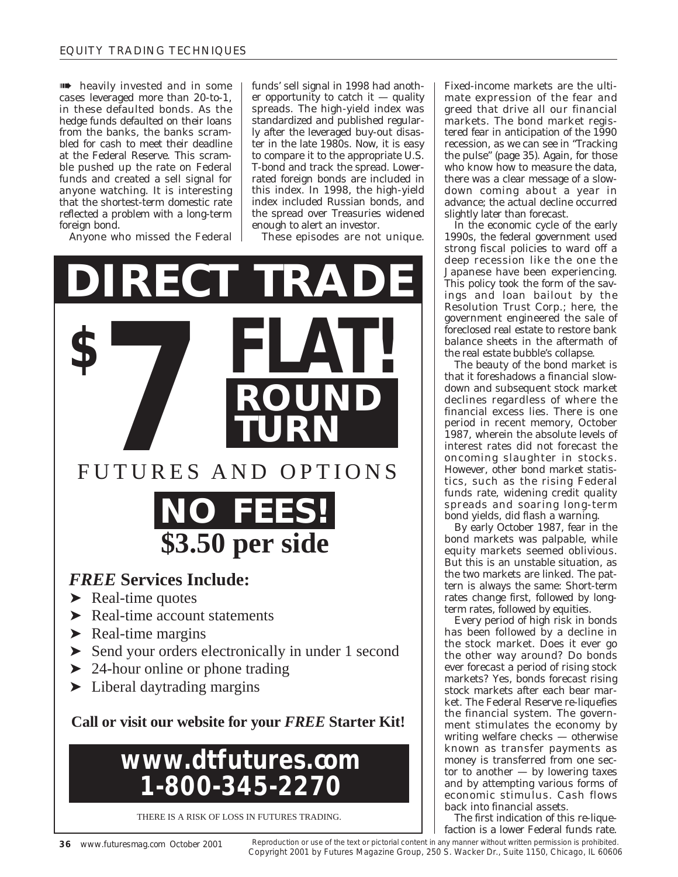**In the manufacture is a manufactured** and in some cases leveraged more than 20-to-1, in these defaulted bonds. As the hedge funds defaulted on their loans from the banks, the banks scrambled for cash to meet their deadline at the Federal Reserve. This scramble pushed up the rate on Federal funds and created a sell signal for anyone watching. It is interesting that the shortest-term domestic rate reflected a problem with a long-term foreign bond.

Anyone who missed the Federal

funds' sell signal in 1998 had another opportunity to catch it  $-$  quality spreads. The high-yield index was standardized and published regularly after the leveraged buy-out disaster in the late 1980s. Now, it is easy to compare it to the appropriate U.S. T-bond and track the spread. Lowerrated foreign bonds are included in this index. In 1998, the high-yield index included Russian bonds, and the spread over Treasuries widened enough to alert an investor.

These episodes are not unique.



THERE IS A RISK OF LOSS IN FUTURES TRADING.

Fixed-income markets are the ultimate expression of the fear and greed that drive all our financial markets. The bond market registered fear in anticipation of the 1990 recession, as we can see in "Tracking the pulse" (page 35). Again, for those who know how to measure the data. there was a clear message of a slowdown coming about a year in advance; the actual decline occurred slightly later than forecast.

In the economic cycle of the early 1990s, the federal government used strong fiscal policies to ward off a deep recession like the one the Japanese have been experiencing. This policy took the form of the savings and loan bailout by the Resolution Trust Corp.; here, the government engineered the sale of foreclosed real estate to restore bank balance sheets in the aftermath of the real estate bubble's collapse.

The beauty of the bond market is that it foreshadows a financial slowdown and subsequent stock market declines regardless of where the financial excess lies. There is one period in recent memory, October 1987, wherein the absolute levels of interest rates did not forecast the oncoming slaughter in stocks. However, other bond market statistics, such as the rising Federal funds rate, widening credit quality spreads and soaring long-term bond yields, did flash a warning.

By early October 1987, fear in the bond markets was palpable, while equity markets seemed oblivious. But this is an unstable situation, as the two markets are linked. The pattern is always the same: Short-term rates change first, followed by longterm rates, followed by equities.

Every period of high risk in bonds has been followed by a decline in the stock market. Does it ever go the other way around? Do bonds ever forecast a period of rising stock markets? Yes, bonds forecast rising stock markets after each bear market. The Federal Reserve re-liquefies the financial system. The government stimulates the economy by writing welfare checks — otherwise known as transfer payments as money is transferred from one sector to another — by lowering taxes and by attempting various forms of economic stimulus. Cash flows back into financial assets.

The first indication of this re-liquefaction is a lower Federal funds rate.

Reproduction or use of the text or pictorial content in any manner without written permission is prohibited. Copyright 2001 by Futures Magazine Group, 250 S. Wacker Dr., Suite 1150, Chicago, IL 60606